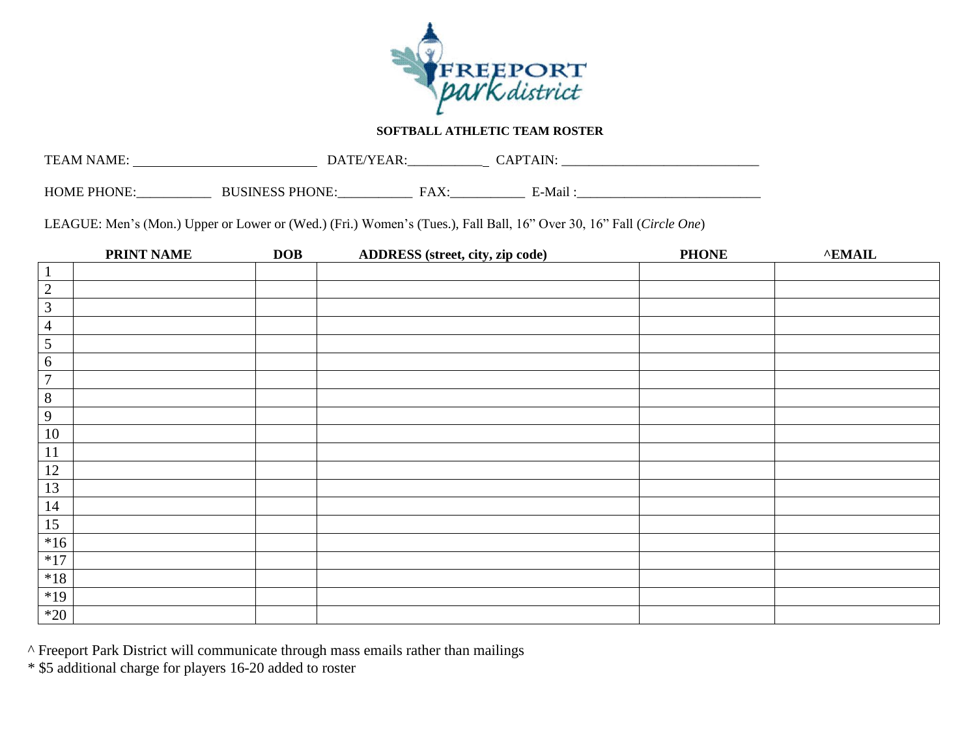

## **SOFTBALL ATHLETIC TEAM ROSTER**

| <b>TEAM NAME:</b>  | DATE                                      |                 | A TNI  |  |
|--------------------|-------------------------------------------|-----------------|--------|--|
| <b>HOME PHONE:</b> | <b>PHONE</b><br><b>ICINECC</b><br>1101 D. | v<br>HΔ<br>17XX | E-Mail |  |

LEAGUE: Men's (Mon.) Upper or Lower or (Wed.) (Fri.) Women's (Tues.), Fall Ball, 16" Over 30, 16" Fall (*Circle One*)

|                | <b>PRINT NAME</b> | <b>DOB</b> | ADDRESS (street, city, zip code) | <b>PHONE</b> | $^{\wedge}$ EMAIL |
|----------------|-------------------|------------|----------------------------------|--------------|-------------------|
| $\perp$        |                   |            |                                  |              |                   |
| $\overline{2}$ |                   |            |                                  |              |                   |
| $\mathfrak{Z}$ |                   |            |                                  |              |                   |
| $\overline{4}$ |                   |            |                                  |              |                   |
| $\sqrt{5}$     |                   |            |                                  |              |                   |
| 6              |                   |            |                                  |              |                   |
| $\overline{7}$ |                   |            |                                  |              |                   |
| $8\,$          |                   |            |                                  |              |                   |
| $\overline{9}$ |                   |            |                                  |              |                   |
| 10             |                   |            |                                  |              |                   |
| 11             |                   |            |                                  |              |                   |
| 12             |                   |            |                                  |              |                   |
| 13             |                   |            |                                  |              |                   |
| 14             |                   |            |                                  |              |                   |
| 15             |                   |            |                                  |              |                   |
| $*16$          |                   |            |                                  |              |                   |
| $*17$          |                   |            |                                  |              |                   |
| $^{\ast}18$    |                   |            |                                  |              |                   |
| $*19$          |                   |            |                                  |              |                   |
| $*20$          |                   |            |                                  |              |                   |

^ Freeport Park District will communicate through mass emails rather than mailings

\* \$5 additional charge for players 16-20 added to roster